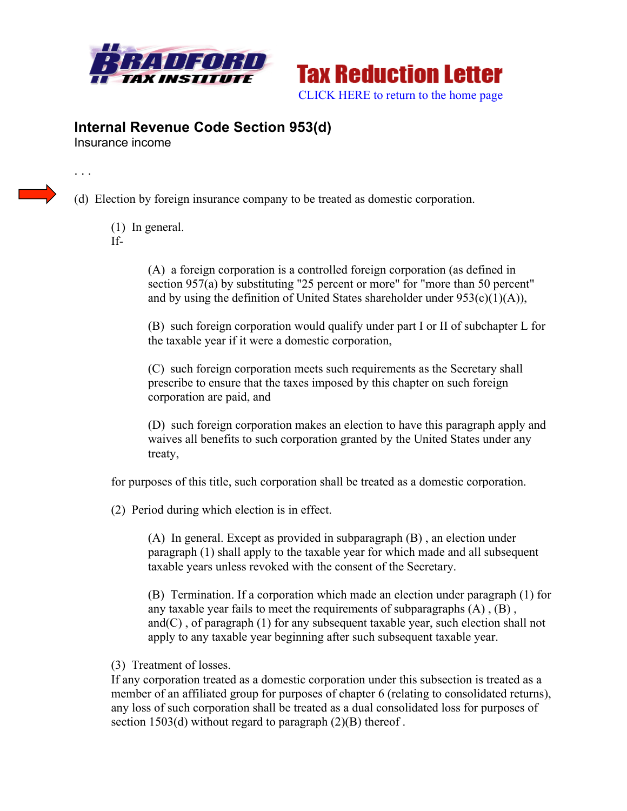



## **Internal Revenue Code Section 953(d)**

Insurance income

. . .

(d) Election by foreign insurance company to be treated as domestic corporation.

- (1) In general.
- If-

(A) a foreign corporation is a controlled foreign corporation (as defined in section 957(a) by substituting "25 percent or more" for "more than 50 percent" and by using the definition of United States shareholder under  $953(c)(1)(A)$ ),

(B) such foreign corporation would qualify under part I or II of subchapter L for the taxable year if it were a domestic corporation,

(C) such foreign corporation meets such requirements as the Secretary shall prescribe to ensure that the taxes imposed by this chapter on such foreign corporation are paid, and

(D) such foreign corporation makes an election to have this paragraph apply and waives all benefits to such corporation granted by the United States under any treaty,

for purposes of this title, such corporation shall be treated as a domestic corporation.

(2) Period during which election is in effect.

(A) In general. Except as provided in subparagraph (B) , an election under paragraph (1) shall apply to the taxable year for which made and all subsequent taxable years unless revoked with the consent of the Secretary.

(B) Termination. If a corporation which made an election under paragraph (1) for any taxable year fails to meet the requirements of subparagraphs (A) , (B) , and(C), of paragraph  $(1)$  for any subsequent taxable year, such election shall not apply to any taxable year beginning after such subsequent taxable year.

(3) Treatment of losses.

If any corporation treated as a domestic corporation under this subsection is treated as a member of an affiliated group for purposes of chapter 6 (relating to consolidated returns), any loss of such corporation shall be treated as a dual consolidated loss for purposes of section 1503(d) without regard to paragraph (2)(B) thereof.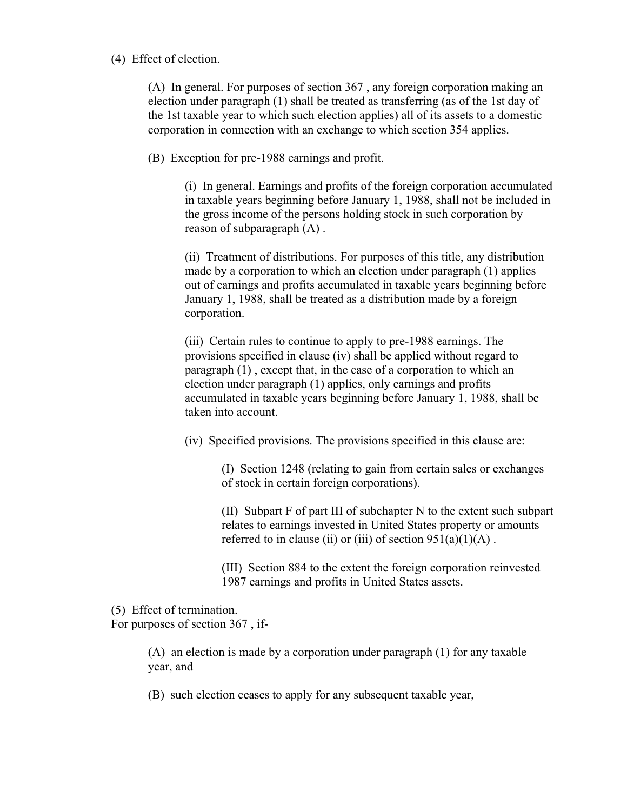## (4) Effect of election.

(A) In general. For purposes of section 367 , any foreign corporation making an election under paragraph (1) shall be treated as transferring (as of the 1st day of the 1st taxable year to which such election applies) all of its assets to a domestic corporation in connection with an exchange to which section 354 applies.

(B) Exception for pre-1988 earnings and profit.

(i) In general. Earnings and profits of the foreign corporation accumulated in taxable years beginning before January 1, 1988, shall not be included in the gross income of the persons holding stock in such corporation by reason of subparagraph (A) .

(ii) Treatment of distributions. For purposes of this title, any distribution made by a corporation to which an election under paragraph (1) applies out of earnings and profits accumulated in taxable years beginning before January 1, 1988, shall be treated as a distribution made by a foreign corporation.

(iii) Certain rules to continue to apply to pre-1988 earnings. The provisions specified in clause (iv) shall be applied without regard to paragraph (1) , except that, in the case of a corporation to which an election under paragraph (1) applies, only earnings and profits accumulated in taxable years beginning before January 1, 1988, shall be taken into account.

(iv) Specified provisions. The provisions specified in this clause are:

(I) Section 1248 (relating to gain from certain sales or exchanges of stock in certain foreign corporations).

(II) Subpart F of part III of subchapter N to the extent such subpart relates to earnings invested in United States property or amounts referred to in clause (ii) or (iii) of section  $951(a)(1)(A)$ .

(III) Section 884 to the extent the foreign corporation reinvested 1987 earnings and profits in United States assets.

(5) Effect of termination.

For purposes of section 367 , if-

(A) an election is made by a corporation under paragraph (1) for any taxable year, and

(B) such election ceases to apply for any subsequent taxable year,